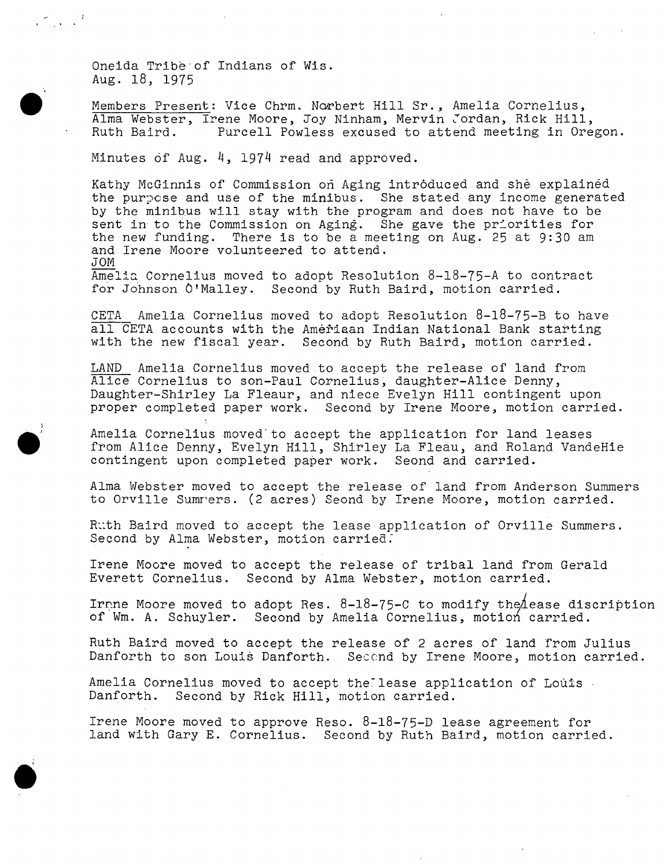Oneida Tribe of Indians of Wis. Aug. 18, 1975

 $\mathcal{L}_{\text{max}}$  ,  $\mathcal{L}$ 

Members Present: Vice Chrm. Norbert Hill Sr., Amelia Cornelius, Alma Webster, Irene Moore, Joy Ninham, Mervin Jordan, Rick Hill,<br>Ruth Baird. Purcell Powless excused to attend meeting in Ore Purcell Powless excused to attend meeting in Oregon.

Minutes of Aug. 4, 1974 read and approved.

Kathy McGinnis of Commission on Aging introduced and she explained the purpose and use of the minibus. She stated any income generated by the minibus will stay with the program and does not have to be sent in to the Commission on Aging. She gave the priorities for the new funding. There is to be a meeting on Aug. 25 at 9:30 am and Irene Moore volunteered to attend. JOM Amelia Cornelius moved to adopt Resolution 8-18-75-A to contract

for Johnson O'Malley. Second by Ruth Baird, motion carried.

CETA Amelia Cornelius moved to adopt Resolution 8-18-75-B to have all CETA accounts with the Ameriaan Indian National Bank starting with the new fiscal year. Second by Ruth Baird, motion carried.

LAND Amelia Cornelius moved to accept the release of land from Alice Cornelius to son-Paul Cornelius, daughter-Alice Denny, Daughter-Shirley La Fleaur, and niece Evelyn Hill contingent upon proper completed paper work. Second by Irene Moore, motion carried.

Amelia Cornelius moved to accept the application for land leases from Alice Denny, Evelyn Hill, Shirley La Fleau, and Roland VandeHie contingent upon completed paper work. Seond and carried.

Alma Webster moved to accept the release of land from Anderson Summers to Orville Sumrers. (2 acres) Seond by Irene Moore, motion carried.

Ruth Baird moved to accept the lease application of Orville Summers. Second by Alma Webster, motion carried.

Irene Moore moved to accept the release of tribal land from Gerald Everett Cornelius. Second by Alma Webster, motion carried.

Irane Moore moved to adopt Res.  $8-18-75-C$  to modify the lease discription of Wm. A. Schuyler. Second by Amelia Cornelius, motion carried.

Ruth Baird moved to accept the release of 2 acres of land from Julius Danforth to son Louis Danforth. Second by Irene Moore, motion carried.

Amelia Cornelius moved to accept the lease application of Louis - Danforth. Second by Rick Hill, motion carried.

Irene Moore moved to approve Reso. 8-18-75-D lease agreement for land with Gary E. Cornelius. Second by Ruth Baird, motion carried.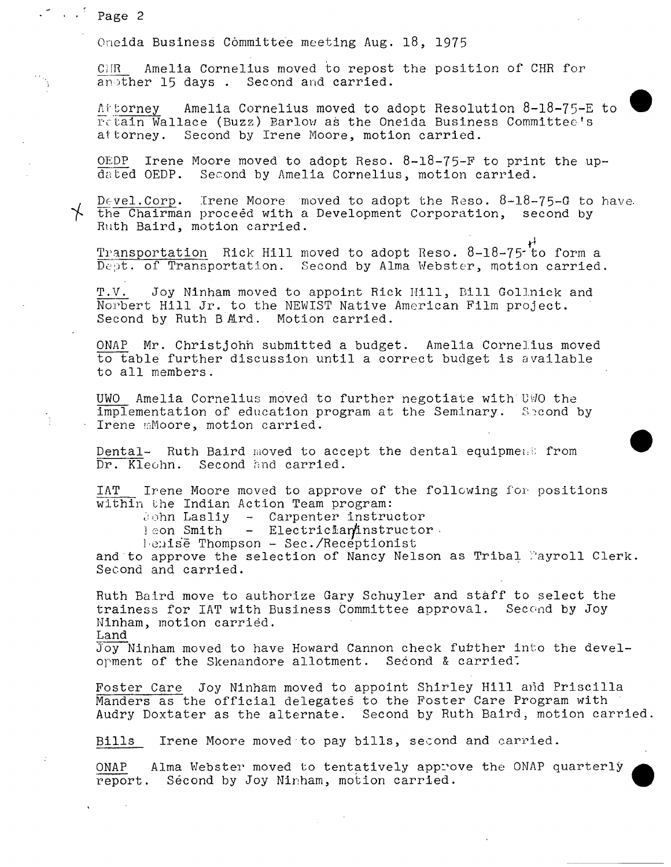**Page 2** 

Oneida **Business Committee meeting Aug.** 18, 1975

**CHR Amelia Cornelius moved to repost the position of CHR for another 15 days . Second and carried.** 

**Attorney Amelia Cornelius moved to adopt Resolution 8-18-75-E to retain Wallace (Buzz) Barlow as the Oneida Business Committee's attorney. Second by Irene Moore, motion carried.** 

**OEPD Irene Moore moved to adopt Reso. 8-18-75-F to print the updated OEDP. Second by Amelia Cornelius, motion carried.** 

**Devel. Corp. Irene Moore moved to adopt the Reso. 8-18-75-G to have, the Chairman proceed with a Development Corporation, second by Ruth Baird, motion carried.** 

Transportation Rick Hill moved to adopt Reso. 8-18-75<sup>-1</sup> to form a **Dept. of Transportation. Second by Alma Webster, motion carried.** 

**T.V. Joy Ninham moved to appoint Rick Hill, Bill Gollnick and Norbert Hill Jr. to the NEWIST Native American Film project.**  Second by Ruth B Ard. Motion carried.

**ONAP Mr. ChristJohn submitted a budget. Amelia Cornelius moved to table further discussion until a correct budget is available to all members.** 

**UWO Amelia Cornelius moved to further negotiate with UWO the implementation of education program at the Seminary.** Second by **Irene Moore, motion carried.** 

**Dental- Ruth Baird moved to accept the dental equipment from Dr. Kleohn. Second and carried.** 

**IAT Irene Moore moved to approve of the following for positions within the Indian Action Team program:** 

**John Lasliy - Carpenter instructor** 

**leon Smith - ElectricLaminstructor** 

**Denise Thompson - Sec. Receptionist** 

**and to approve the selection of Nancy Nelson as Tribal Payroll Clerk. Second and carried.** 

**Ruth Baird move to authorize Gary Schuyler and staff to select the trainess for IAT with Business Committee approval. Second by Joy Ninham, motion carried.** 

**Land** 

Joy Ninham moved to have Howard Cannon check fubther into the devel**opment of the Skenandore allotment. Second & carried".** 

**Foster Care Joy Ninham moved to appoint Shirley Hill and Priscilla Manders as the official delegates to the Foster Care Program with Audry Doxtater as the alternate. Second by Ruth Baird, motion carried.** 

**Bills Irene Moore moved to pay bills, second and carried.** 

**ONAP Alma Webster moved to tentatively approve the ONAP quarterly report. Second by Joy Ninham, motion carried.**